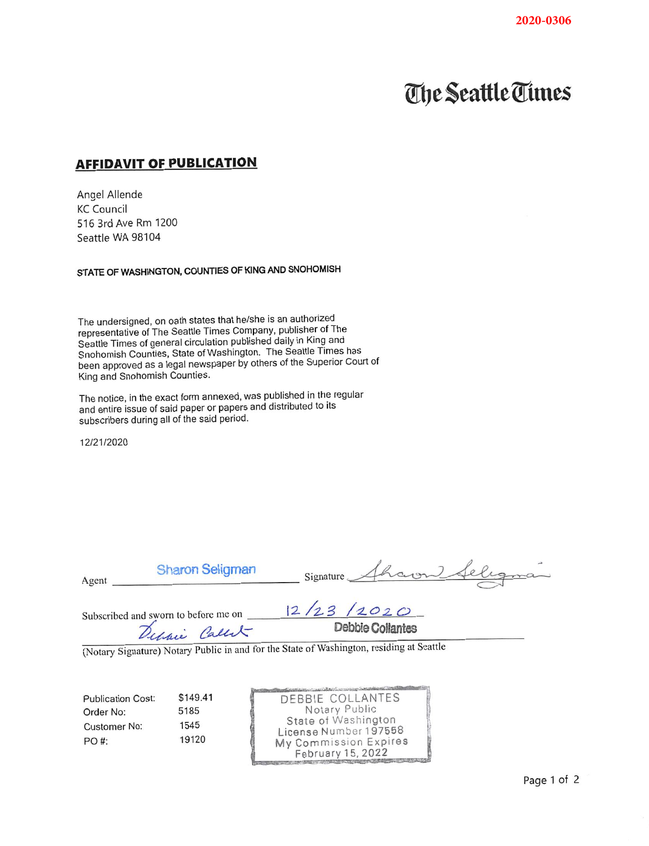## **The Seattle Times**

## **AFFIDAVIT OF PUBLICATION**

Angel Allende **KC Council** 516 3rd Ave Rm 1200 Seattle WA 98104

STATE OF WASHINGTON, COUNTIES OF KING AND SNOHOMISH

The undersigned, on oath states that he/she is an authorized representative of The Seattle Times Company, publisher of The Seattle Times of general circulation published daily in King and Snohomish Counties, State of Washington. The Seattle Times has been approved as a legal newspaper by others of the Superior Court of King and Snohomish Counties.

The notice, in the exact form annexed, was published in the regular and entire issue of said paper or papers and distributed to its subscribers during all of the said period.

12/21/2020

| Agent                                                                 | <b>Sharon Seligman</b>                                | Signature Sharon                                                                                                                |
|-----------------------------------------------------------------------|-------------------------------------------------------|---------------------------------------------------------------------------------------------------------------------------------|
|                                                                       | Subscribed and sworn to before me on<br>Debain Callet | 12/23/2020<br>Debbie Collantes                                                                                                  |
|                                                                       |                                                       | (Notary Signature) Notary Public in and for the State of Washington, residing at Seattle                                        |
| <b>Publication Cost:</b><br>Order No:<br><b>Customer No:</b><br>PO #: | \$149.41<br>5185<br>1545<br>19120                     | DEBBIE COLLANTES<br>Notary Public<br>State of Washington<br>License Number 197558<br>My Commission Expires<br>February 15, 2022 |